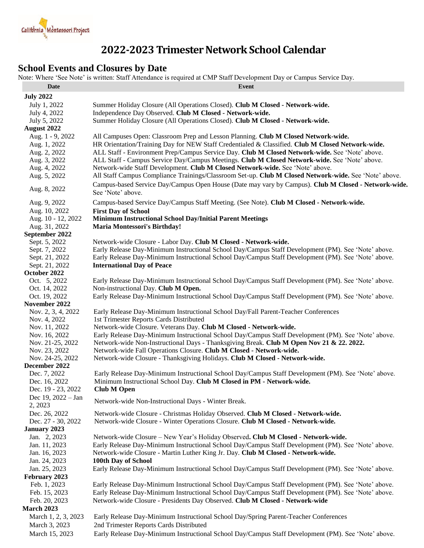

# **2022-2023 Trimester Network School Calendar**

## **School Events and Closures by Date**

Note: Where 'See Note' is written: Staff Attendance is required at CMP Staff Development Day or Campus Service Day.

| <b>Date</b>                    | Event                                                                                                                                      |
|--------------------------------|--------------------------------------------------------------------------------------------------------------------------------------------|
| <b>July 2022</b>               |                                                                                                                                            |
| July 1, 2022                   | Summer Holiday Closure (All Operations Closed). Club M Closed - Network-wide.                                                              |
| July 4, 2022                   | Independence Day Observed. Club M Closed - Network-wide.                                                                                   |
| July 5, 2022                   | Summer Holiday Closure (All Operations Closed). Club M Closed - Network-wide.                                                              |
| August 2022                    |                                                                                                                                            |
| Aug. 1 - 9, 2022               | All Campuses Open: Classroom Prep and Lesson Planning. Club M Closed Network-wide.                                                         |
| Aug. 1, 2022                   | HR Orientation/Training Day for NEW Staff Credentialed & Classified. Club M Closed Network-wide.                                           |
| Aug. 2, 2022                   | ALL Staff - Environment Prep/Campus Service Day. Club M Closed Network-wide. See 'Note' above.                                             |
| Aug. 3, 2022                   | ALL Staff - Campus Service Day/Campus Meetings. Club M Closed Network-wide. See 'Note' above.                                              |
| Aug. 4, 2022                   | Network-wide Staff Development. Club M Closed Network-wide. See 'Note' above.                                                              |
| Aug. 5, 2022                   | All Staff Campus Compliance Trainings/Classroom Set-up. Club M Closed Network-wide. See 'Note' above.                                      |
|                                | Campus-based Service Day/Campus Open House (Date may vary by Campus). Club M Closed - Network-wide.                                        |
| Aug. 8, 2022                   | See 'Note' above.                                                                                                                          |
| Aug. 9, 2022                   | Campus-based Service Day/Campus Staff Meeting. (See Note). Club M Closed - Network-wide.                                                   |
| Aug. 10, 2022                  | <b>First Day of School</b>                                                                                                                 |
| Aug. 10 - 12, 2022             | <b>Minimum Instructional School Day/Initial Parent Meetings</b>                                                                            |
| Aug. 31, 2022                  | <b>Maria Montessori's Birthday!</b>                                                                                                        |
| September 2022                 |                                                                                                                                            |
| Sept. 5, 2022                  | Network-wide Closure - Labor Day. Club M Closed - Network-wide.                                                                            |
| Sept. 7, 2022                  | Early Release Day-Minimum Instructional School Day/Campus Staff Development (PM). See 'Note' above.                                        |
| Sept. 21, 2022                 | Early Release Day-Minimum Instructional School Day/Campus Staff Development (PM). See 'Note' above.                                        |
| Sept. 21, 2022                 | <b>International Day of Peace</b>                                                                                                          |
| October 2022                   |                                                                                                                                            |
| Oct. 5, 2022                   | Early Release Day-Minimum Instructional School Day/Campus Staff Development (PM). See 'Note' above.<br>Non-instructional Day. Club M Open. |
| Oct. 14, 2022<br>Oct. 19, 2022 | Early Release Day-Minimum Instructional School Day/Campus Staff Development (PM). See 'Note' above.                                        |
| November 2022                  |                                                                                                                                            |
| Nov. 2, 3, 4, 2022             | Early Release Day-Minimum Instructional School Day/Fall Parent-Teacher Conferences                                                         |
| Nov. 4, 2022                   | 1st Trimester Reports Cards Distributed                                                                                                    |
| Nov. 11, 2022                  | Network-wide Closure. Veterans Day. Club M Closed - Network-wide.                                                                          |
| Nov. 16, 2022                  | Early Release Day-Minimum Instructional School Day/Campus Staff Development (PM). See 'Note' above.                                        |
| Nov. 21-25, 2022               | Network-wide Non-Instructional Days - Thanksgiving Break. Club M Open Nov 21 & 22. 2022.                                                   |
| Nov. 23, 2022                  | Network-wide Fall Operations Closure. Club M Closed - Network-wide.                                                                        |
| Nov. 24-25, 2022               | Network-wide Closure - Thanksgiving Holidays. Club M Closed - Network-wide.                                                                |
| December 2022                  |                                                                                                                                            |
| Dec. 7, 2022                   | Early Release Day-Minimum Instructional School Day/Campus Staff Development (PM). See 'Note' above.                                        |
| Dec. 16, 2022                  | Minimum Instructional School Day. Club M Closed in PM - Network-wide.                                                                      |
| Dec. 19 - 23, 2022             | <b>Club M Open</b>                                                                                                                         |
| Dec 19, 2022 - Jan<br>2, 2023  | Network-wide Non-Instructional Days - Winter Break.                                                                                        |
| Dec. 26, 2022                  | Network-wide Closure - Christmas Holiday Observed. Club M Closed - Network-wide.                                                           |
| Dec. 27 - 30, 2022             | Network-wide Closure - Winter Operations Closure. Club M Closed - Network-wide.                                                            |
| <b>January 2023</b>            |                                                                                                                                            |
| Jan. 2, 2023                   | Network-wide Closure - New Year's Holiday Observed. Club M Closed - Network-wide.                                                          |
| Jan. 11, 2023                  | Early Release Day-Minimum Instructional School Day/Campus Staff Development (PM). See 'Note' above.                                        |
| Jan. 16, 2023                  | Network-wide Closure - Martin Luther King Jr. Day. Club M Closed - Network-wide.                                                           |
| Jan. 24, 2023                  | 100th Day of School                                                                                                                        |
| Jan. 25, 2023                  | Early Release Day-Minimum Instructional School Day/Campus Staff Development (PM). See 'Note' above.                                        |
| February 2023                  |                                                                                                                                            |
| Feb. 1, 2023                   | Early Release Day-Minimum Instructional School Day/Campus Staff Development (PM). See 'Note' above.                                        |
| Feb. 15, 2023                  | Early Release Day-Minimum Instructional School Day/Campus Staff Development (PM). See 'Note' above.                                        |
| Feb. 20, 2023                  | Network-wide Closure - Presidents Day Observed. Club M Closed - Network-wide                                                               |
| <b>March 2023</b>              |                                                                                                                                            |
| March 1, 2, 3, 2023            | Early Release Day-Minimum Instructional School Day/Spring Parent-Teacher Conferences                                                       |
| March 3, 2023                  | 2nd Trimester Reports Cards Distributed                                                                                                    |
| March 15, 2023                 | Early Release Day-Minimum Instructional School Day/Campus Staff Development (PM). See 'Note' above.                                        |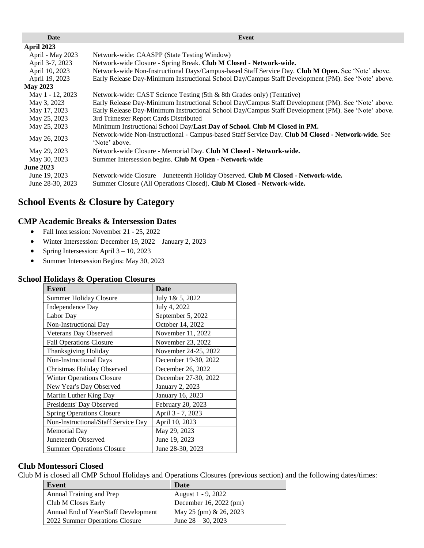| Date             | Event                                                                                                               |  |  |
|------------------|---------------------------------------------------------------------------------------------------------------------|--|--|
| April 2023       |                                                                                                                     |  |  |
| April - May 2023 | Network-wide: CAASPP (State Testing Window)                                                                         |  |  |
| April 3-7, 2023  | Network-wide Closure - Spring Break. Club M Closed - Network-wide.                                                  |  |  |
| April 10, 2023   | Network-wide Non-Instructional Days/Campus-based Staff Service Day. Club M Open. See 'Note' above.                  |  |  |
| April 19, 2023   | Early Release Day-Minimum Instructional School Day/Campus Staff Development (PM). See 'Note' above.                 |  |  |
| <b>May 2023</b>  |                                                                                                                     |  |  |
| May 1 - 12, 2023 | Network-wide: CAST Science Testing (5th & 8th Grades only) (Tentative)                                              |  |  |
| May 3, 2023      | Early Release Day-Minimum Instructional School Day/Campus Staff Development (PM). See 'Note' above.                 |  |  |
| May 17, 2023     | Early Release Day-Minimum Instructional School Day/Campus Staff Development (PM). See 'Note' above.                 |  |  |
| May 25, 2023     | 3rd Trimester Report Cards Distributed                                                                              |  |  |
| May 25, 2023     | Minimum Instructional School Day/Last Day of School. Club M Closed in PM.                                           |  |  |
| May 26, 2023     | Network-wide Non-Instructional - Campus-based Staff Service Day. Club M Closed - Network-wide. See<br>'Note' above. |  |  |
| May 29, 2023     | Network-wide Closure - Memorial Day. Club M Closed - Network-wide.                                                  |  |  |
| May 30, 2023     | Summer Intersession begins. Club M Open - Network-wide                                                              |  |  |
| <b>June 2023</b> |                                                                                                                     |  |  |
| June 19, 2023    | Network-wide Closure – Juneteenth Holiday Observed. Club M Closed - Network-wide.                                   |  |  |
| June 28-30, 2023 | Summer Closure (All Operations Closed). Club M Closed - Network-wide.                                               |  |  |

## **School Events & Closure by Category**

#### **CMP Academic Breaks & Intersession Dates**

- Fall Intersession: November 21 25, 2022
- Winter Intersession: December 19, 2022 January 2, 2023
- Spring Intersession: April  $3 10$ , 2023
- Summer Intersession Begins: May 30, 2023

| п попадуз ее Ореганон Сюзагез       |                        |  |  |
|-------------------------------------|------------------------|--|--|
| Event                               | <b>Date</b>            |  |  |
| <b>Summer Holiday Closure</b>       | July 1& 5, 2022        |  |  |
| Independence Day                    | July 4, 2022           |  |  |
| Labor Day                           | September 5, 2022      |  |  |
| Non-Instructional Day               | October 14, 2022       |  |  |
| Veterans Day Observed               | November 11, 2022      |  |  |
| <b>Fall Operations Closure</b>      | November 23, 2022      |  |  |
| Thanksgiving Holiday                | November 24-25, 2022   |  |  |
| Non-Instructional Days              | December 19-30, 2022   |  |  |
| Christmas Holiday Observed          | December 26, 2022      |  |  |
| <b>Winter Operations Closure</b>    | December 27-30, 2022   |  |  |
| New Year's Day Observed             | <b>January 2, 2023</b> |  |  |
| Martin Luther King Day              | January 16, 2023       |  |  |
| Presidents' Day Observed            | February 20, 2023      |  |  |
| <b>Spring Operations Closure</b>    | April 3 - 7, 2023      |  |  |
| Non-Instructional/Staff Service Day | April 10, 2023         |  |  |
| Memorial Day                        | May 29, 2023           |  |  |
| Juneteenth Observed                 | June 19, 2023          |  |  |
| <b>Summer Operations Closure</b>    | June 28-30, 2023       |  |  |

## **School Holidays & Operation Closures**

### **Club Montessori Closed**

Club M is closed all CMP School Holidays and Operations Closures (previous section) and the following dates/times:

| Event                                | Date                      |
|--------------------------------------|---------------------------|
| Annual Training and Prep             | August 1 - 9, 2022        |
| Club M Closes Early                  | December 16, 2022 (pm)    |
| Annual End of Year/Staff Development | May 25 (pm) $\&$ 26, 2023 |
| 2022 Summer Operations Closure       | June $28 - 30$ , 2023     |